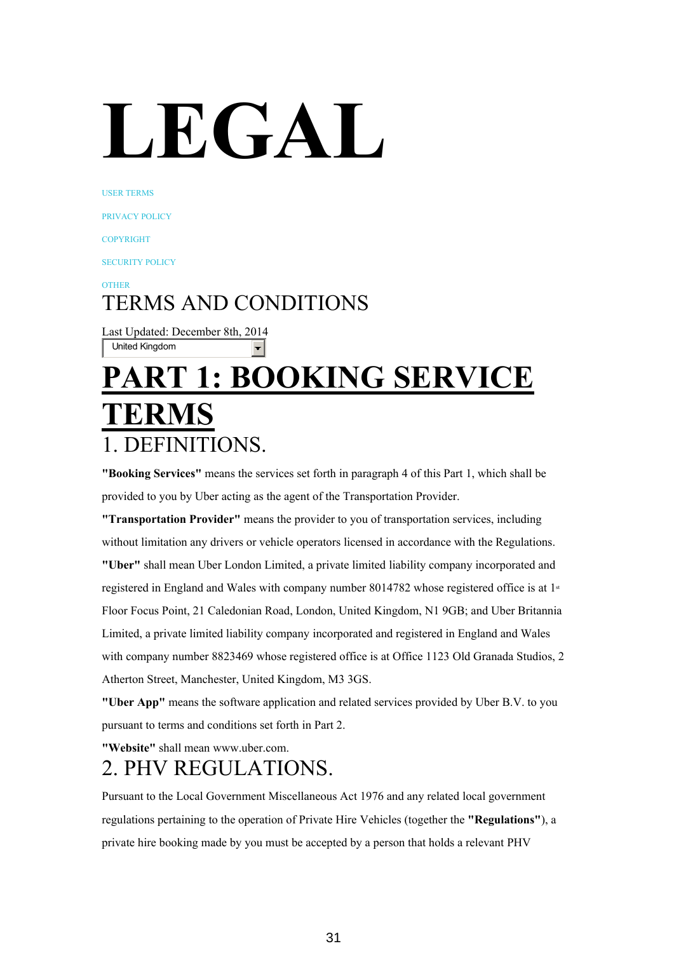# **LEGAL**

USER [TERMS](https://www.uber.com/legal/terms)

[PRIVACY](https://www.uber.com/legal/privacy) POLICY

[COPYRIGHT](https://www.uber.com/legal/copyright)

[SECURITY](https://www.uber.com/security) POLICY

[OTHER](https://www.uber.com/legal/other)

#### TERMS AND CONDITIONS

Last Updated: December 8th, 2014 United Kingdom

## **PART 1: BOOKING SERVICE TERMS** 1. DEFINITIONS.

**"Booking Services"** means the services set forth in paragraph 4 of this Part 1, which shall be provided to you by Uber acting as the agent of the Transportation Provider.

**"Transportation Provider"** means the provider to you of transportation services, including without limitation any drivers or vehicle operators licensed in accordance with the Regulations. **"Uber"** shall mean Uber London Limited, a private limited liability company incorporated and registered in England and Wales with company number 8014782 whose registered office is at  $1^*$ Floor Focus Point, 21 Caledonian Road, London, United Kingdom, N1 9GB; and Uber Britannia Limited, a private limited liability company incorporated and registered in England and Wales with company number 8823469 whose registered office is at Office 1123 Old Granada Studios, 2 Atherton Street, Manchester, United Kingdom, M3 3GS.

**"Uber App"** means the software application and related services provided by Uber B.V. to you pursuant to terms and conditions set forth in Part 2.

**"Website"** shall mean www.uber.com.

#### 2. PHV REGULATIONS.

Pursuant to the Local Government Miscellaneous Act 1976 and any related local government regulations pertaining to the operation of Private Hire Vehicles (together the **"Regulations"**), a private hire booking made by you must be accepted by a person that holds a relevant PHV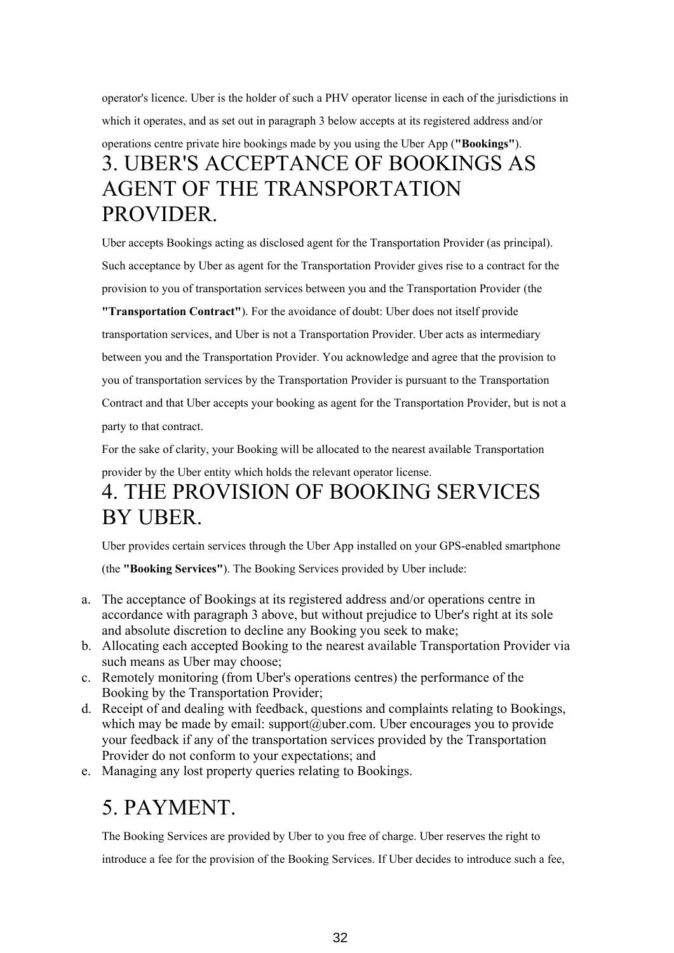operator's licence. Uber is the holder of such a PHV operator license in each of the jurisdictions in which it operates, and as set out in paragraph 3 below accepts at its registered address and/or operations centre private hire bookings made by you using the Uber App (**"Bookings"**). 3. UBER'S ACCEPTANCE OF BOOKINGS AS AGENT OF THE TRANSPORTATION PROVIDER.

Uber accepts Bookings acting as disclosed agent for the Transportation Provider (as principal). Such acceptance by Uber as agent for the Transportation Provider gives rise to a contract for the provision to you of transportation services between you and the Transportation Provider (the

**"Transportation Contract"**). For the avoidance of doubt: Uber does not itself provide transportation services, and Uber is not a Transportation Provider. Uber acts as intermediary between you and the Transportation Provider. You acknowledge and agree that the provision to you of transportation services by the Transportation Provider is pursuant to the Transportation Contract and that Uber accepts your booking as agent for the Transportation Provider, but is not a party to that contract.

For the sake of clarity, your Booking will be allocated to the nearest available Transportation

provider by the Uber entity which holds the relevant operator license.

#### 4. THE PROVISION OF BOOKING SERVICES BY UBER.

Uber provides certain services through the Uber App installed on your GPS-enabled smartphone

(the **"Booking Services"**). The Booking Services provided by Uber include:

- a. The acceptance of Bookings at its registered address and/or operations centre in accordance with paragraph 3 above, but without prejudice to Uber's right at its sole and absolute discretion to decline any Booking you seek to make;
- b. Allocating each accepted Booking to the nearest available Transportation Provider via such means as Uber may choose;
- c. Remotely monitoring (from Uber's operations centres) the performance of the Booking by the Transportation Provider;
- d. Receipt of and dealing with feedback, questions and complaints relating to Bookings, which may be made by email: support@uber.com. Uber encourages you to provide your feedback if any of the transportation services provided by the Transportation Provider do not conform to your expectations; and
- e. Managing any lost property queries relating to Bookings.

#### 5. PAYMENT.

The Booking Services are provided by Uber to you free of charge. Uber reserves the right to introduce a fee for the provision of the Booking Services. If Uber decides to introduce such a fee,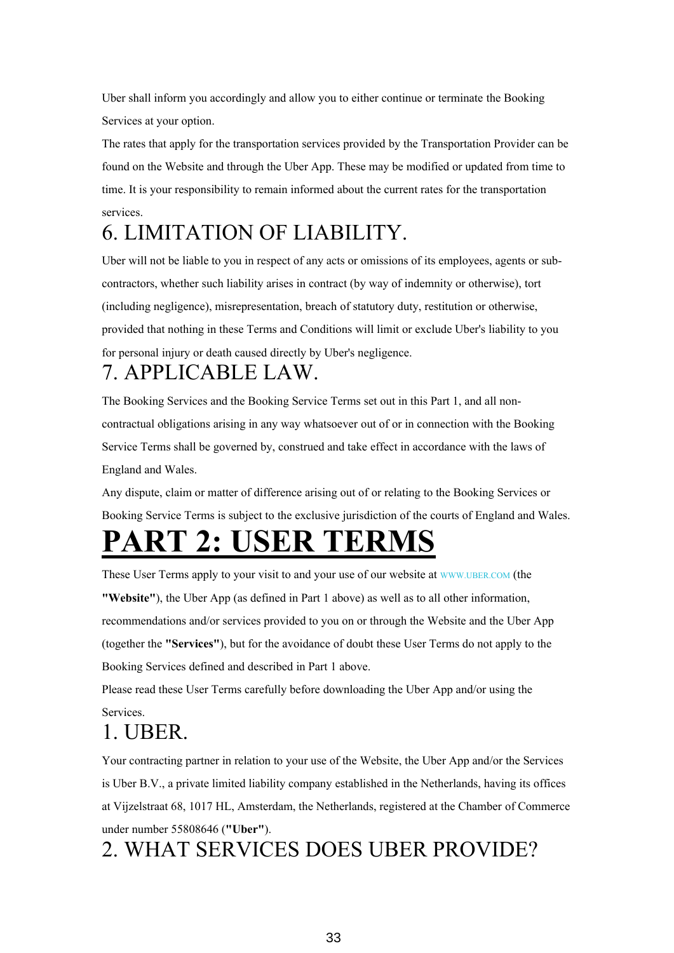Uber shall inform you accordingly and allow you to either continue or terminate the Booking Services at your option.

The rates that apply for the transportation services provided by the Transportation Provider can be found on the Website and through the Uber App. These may be modified or updated from time to time. It is your responsibility to remain informed about the current rates for the transportation services.

#### 6. LIMITATION OF LIABILITY.

Uber will not be liable to you in respect of any acts or omissions of its employees, agents or subcontractors, whether such liability arises in contract (by way of indemnity or otherwise), tort (including negligence), misrepresentation, breach of statutory duty, restitution or otherwise, provided that nothing in these Terms and Conditions will limit or exclude Uber's liability to you for personal injury or death caused directly by Uber's negligence.

#### 7. APPLICABLE LAW.

The Booking Services and the Booking Service Terms set out in this Part 1, and all noncontractual obligations arising in any way whatsoever out of or in connection with the Booking Service Terms shall be governed by, construed and take effect in accordance with the laws of England and Wales.

Any dispute, claim or matter of difference arising out of or relating to the Booking Services or Booking Service Terms is subject to the exclusive jurisdiction of the courts of England and Wales.

## **PART 2: USER TERMS**

These User Terms apply to your visit to and your use of our website at [WWW.UBER.COM](http://www.uber.com/) (the

**"Website"**), the Uber App (as defined in Part 1 above) as well as to all other information, recommendations and/or services provided to you on or through the Website and the Uber App (together the **"Services"**), but for the avoidance of doubt these User Terms do not apply to the Booking Services defined and described in Part 1 above.

Please read these User Terms carefully before downloading the Uber App and/or using the Services.

#### 1. UBER.

Your contracting partner in relation to your use of the Website, the Uber App and/or the Services is Uber B.V., a private limited liability company established in the Netherlands, having its offices at Vijzelstraat 68, 1017 HL, Amsterdam, the Netherlands, registered at the Chamber of Commerce under number 55808646 (**"Uber"**).

#### 2. WHAT SERVICES DOES UBER PROVIDE?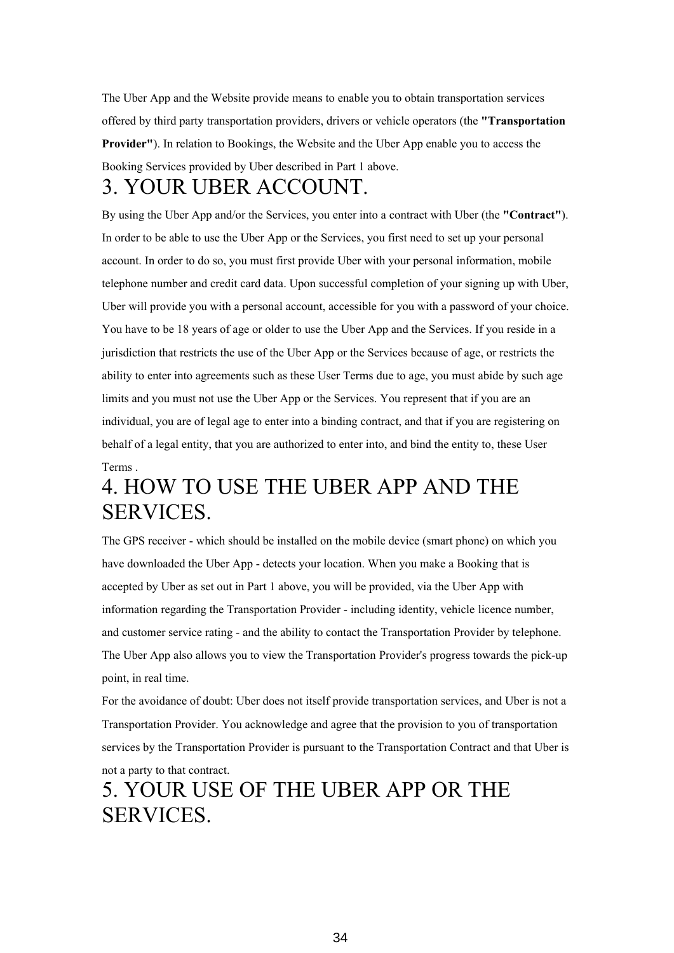The Uber App and the Website provide means to enable you to obtain transportation services offered by third party transportation providers, drivers or vehicle operators (the **"Transportation Provider"**). In relation to Bookings, the Website and the Uber App enable you to access the Booking Services provided by Uber described in Part 1 above.

#### 3. YOUR UBER ACCOUNT.

By using the Uber App and/or the Services, you enter into a contract with Uber (the **"Contract"**). In order to be able to use the Uber App or the Services, you first need to set up your personal account. In order to do so, you must first provide Uber with your personal information, mobile telephone number and credit card data. Upon successful completion of your signing up with Uber, Uber will provide you with a personal account, accessible for you with a password of your choice. You have to be 18 years of age or older to use the Uber App and the Services. If you reside in a jurisdiction that restricts the use of the Uber App or the Services because of age, or restricts the ability to enter into agreements such as these User Terms due to age, you must abide by such age limits and you must not use the Uber App or the Services. You represent that if you are an individual, you are of legal age to enter into a binding contract, and that if you are registering on behalf of a legal entity, that you are authorized to enter into, and bind the entity to, these User Terms .

#### 4. HOW TO USE THE UBER APP AND THE SERVICES.

The GPS receiver - which should be installed on the mobile device (smart phone) on which you have downloaded the Uber App - detects your location. When you make a Booking that is accepted by Uber as set out in Part 1 above, you will be provided, via the Uber App with information regarding the Transportation Provider - including identity, vehicle licence number, and customer service rating - and the ability to contact the Transportation Provider by telephone. The Uber App also allows you to view the Transportation Provider's progress towards the pick-up point, in real time.

For the avoidance of doubt: Uber does not itself provide transportation services, and Uber is not a Transportation Provider. You acknowledge and agree that the provision to you of transportation services by the Transportation Provider is pursuant to the Transportation Contract and that Uber is not a party to that contract.

#### 5. YOUR USE OF THE UBER APP OR THE SERVICES.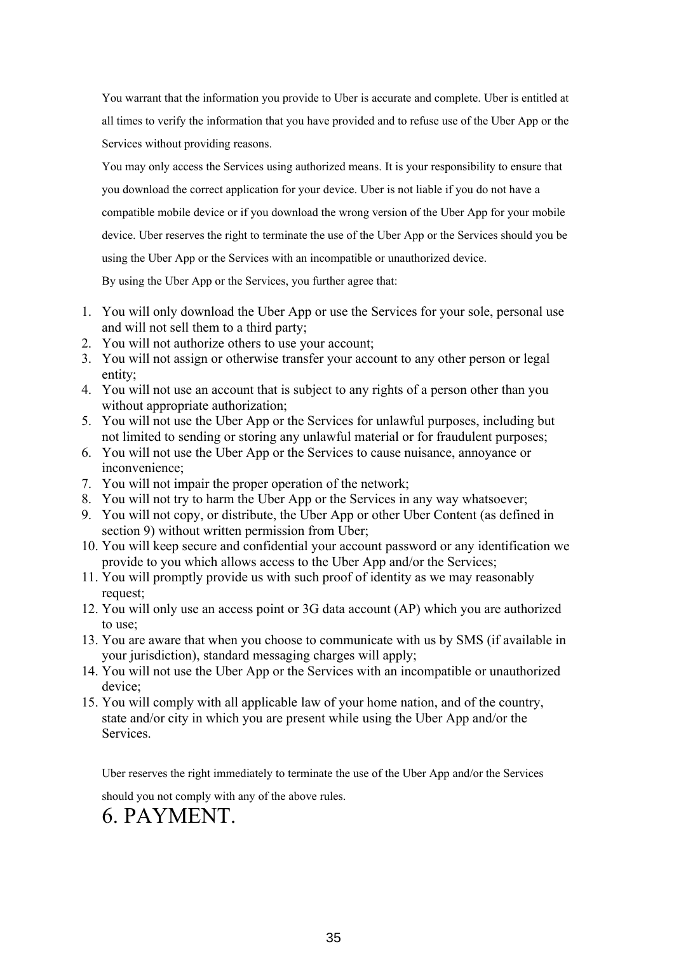You warrant that the information you provide to Uber is accurate and complete. Uber is entitled at all times to verify the information that you have provided and to refuse use of the Uber App or the Services without providing reasons.

You may only access the Services using authorized means. It is your responsibility to ensure that you download the correct application for your device. Uber is not liable if you do not have a compatible mobile device or if you download the wrong version of the Uber App for your mobile device. Uber reserves the right to terminate the use of the Uber App or the Services should you be using the Uber App or the Services with an incompatible or unauthorized device.

By using the Uber App or the Services, you further agree that:

- 1. You will only download the Uber App or use the Services for your sole, personal use and will not sell them to a third party;
- 2. You will not authorize others to use your account;
- 3. You will not assign or otherwise transfer your account to any other person or legal entity;
- 4. You will not use an account that is subject to any rights of a person other than you without appropriate authorization;
- 5. You will not use the Uber App or the Services for unlawful purposes, including but not limited to sending or storing any unlawful material or for fraudulent purposes;
- 6. You will not use the Uber App or the Services to cause nuisance, annoyance or inconvenience;
- 7. You will not impair the proper operation of the network;
- 8. You will not try to harm the Uber App or the Services in any way whatsoever;
- 9. You will not copy, or distribute, the Uber App or other Uber Content (as defined in section 9) without written permission from Uber;
- 10. You will keep secure and confidential your account password or any identification we provide to you which allows access to the Uber App and/or the Services;
- 11. You will promptly provide us with such proof of identity as we may reasonably request;
- 12. You will only use an access point or 3G data account (AP) which you are authorized to use;
- 13. You are aware that when you choose to communicate with us by SMS (if available in your jurisdiction), standard messaging charges will apply;
- 14. You will not use the Uber App or the Services with an incompatible or unauthorized device;
- 15. You will comply with all applicable law of your home nation, and of the country, state and/or city in which you are present while using the Uber App and/or the Services.

Uber reserves the right immediately to terminate the use of the Uber App and/or the Services

should you not comply with any of the above rules.

#### 6. PAYMENT.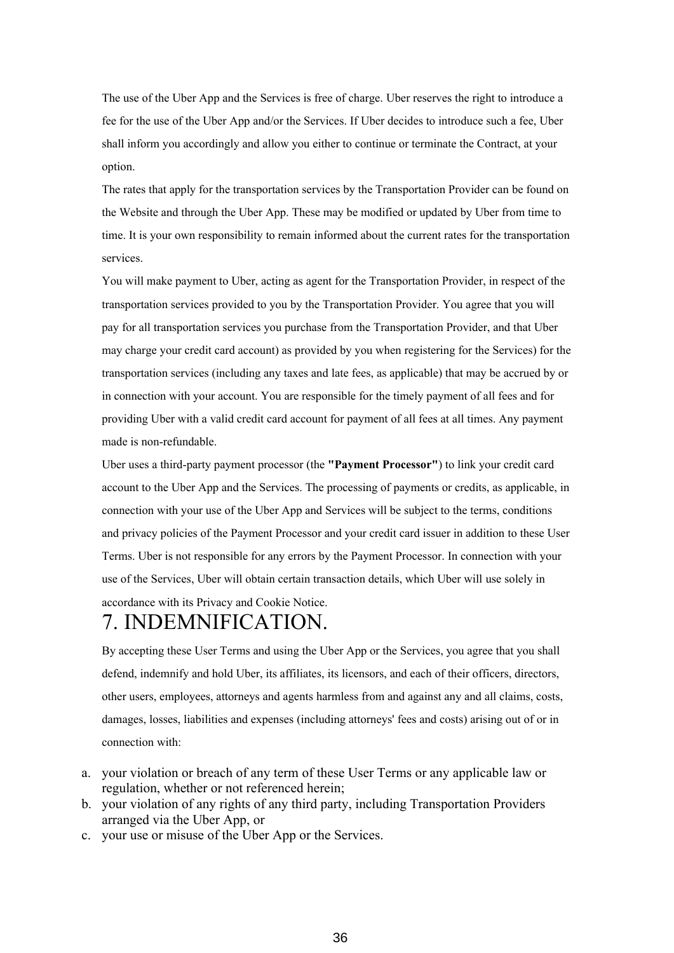The use of the Uber App and the Services is free of charge. Uber reserves the right to introduce a fee for the use of the Uber App and/or the Services. If Uber decides to introduce such a fee, Uber shall inform you accordingly and allow you either to continue or terminate the Contract, at your option.

The rates that apply for the transportation services by the Transportation Provider can be found on the Website and through the Uber App. These may be modified or updated by Uber from time to time. It is your own responsibility to remain informed about the current rates for the transportation services.

You will make payment to Uber, acting as agent for the Transportation Provider, in respect of the transportation services provided to you by the Transportation Provider. You agree that you will pay for all transportation services you purchase from the Transportation Provider, and that Uber may charge your credit card account) as provided by you when registering for the Services) for the transportation services (including any taxes and late fees, as applicable) that may be accrued by or in connection with your account. You are responsible for the timely payment of all fees and for providing Uber with a valid credit card account for payment of all fees at all times. Any payment made is non-refundable.

Uber uses a third-party payment processor (the **"Payment Processor"**) to link your credit card account to the Uber App and the Services. The processing of payments or credits, as applicable, in connection with your use of the Uber App and Services will be subject to the terms, conditions and privacy policies of the Payment Processor and your credit card issuer in addition to these User Terms. Uber is not responsible for any errors by the Payment Processor. In connection with your use of the Services, Uber will obtain certain transaction details, which Uber will use solely in accordance with its Privacy and Cookie Notice.

#### 7. INDEMNIFICATION.

By accepting these User Terms and using the Uber App or the Services, you agree that you shall defend, indemnify and hold Uber, its affiliates, its licensors, and each of their officers, directors, other users, employees, attorneys and agents harmless from and against any and all claims, costs, damages, losses, liabilities and expenses (including attorneys' fees and costs) arising out of or in connection with:

- a. your violation or breach of any term of these User Terms or any applicable law or regulation, whether or not referenced herein;
- b. your violation of any rights of any third party, including Transportation Providers arranged via the Uber App, or
- c. your use or misuse of the Uber App or the Services.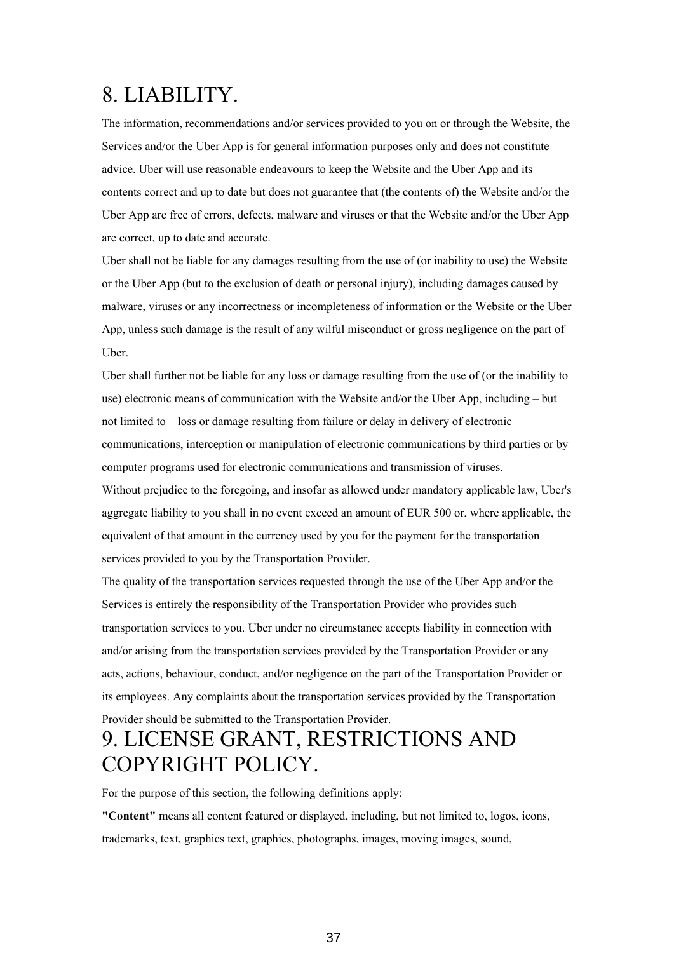#### 8. LIABILITY.

The information, recommendations and/or services provided to you on or through the Website, the Services and/or the Uber App is for general information purposes only and does not constitute advice. Uber will use reasonable endeavours to keep the Website and the Uber App and its contents correct and up to date but does not guarantee that (the contents of) the Website and/or the Uber App are free of errors, defects, malware and viruses or that the Website and/or the Uber App are correct, up to date and accurate.

Uber shall not be liable for any damages resulting from the use of (or inability to use) the Website or the Uber App (but to the exclusion of death or personal injury), including damages caused by malware, viruses or any incorrectness or incompleteness of information or the Website or the Uber App, unless such damage is the result of any wilful misconduct or gross negligence on the part of Uber.

Uber shall further not be liable for any loss or damage resulting from the use of (or the inability to use) electronic means of communication with the Website and/or the Uber App, including – but not limited to – loss or damage resulting from failure or delay in delivery of electronic communications, interception or manipulation of electronic communications by third parties or by computer programs used for electronic communications and transmission of viruses.

Without prejudice to the foregoing, and insofar as allowed under mandatory applicable law, Uber's aggregate liability to you shall in no event exceed an amount of EUR 500 or, where applicable, the equivalent of that amount in the currency used by you for the payment for the transportation services provided to you by the Transportation Provider.

The quality of the transportation services requested through the use of the Uber App and/or the Services is entirely the responsibility of the Transportation Provider who provides such transportation services to you. Uber under no circumstance accepts liability in connection with and/or arising from the transportation services provided by the Transportation Provider or any acts, actions, behaviour, conduct, and/or negligence on the part of the Transportation Provider or its employees. Any complaints about the transportation services provided by the Transportation Provider should be submitted to the Transportation Provider.

#### 9. LICENSE GRANT, RESTRICTIONS AND COPYRIGHT POLICY.

For the purpose of this section, the following definitions apply:

**"Content"** means all content featured or displayed, including, but not limited to, logos, icons, trademarks, text, graphics text, graphics, photographs, images, moving images, sound,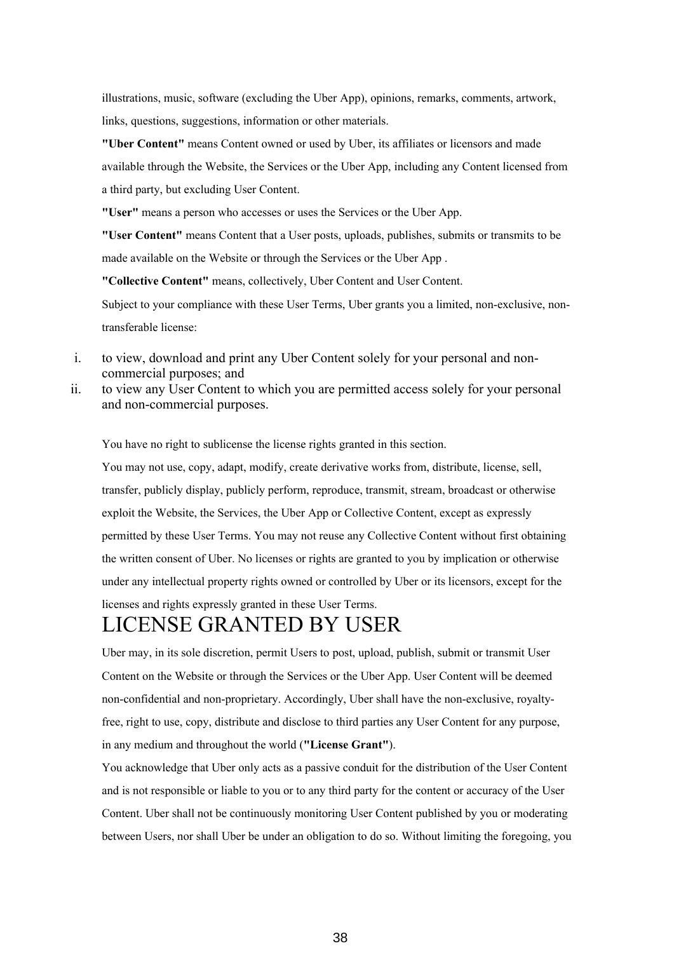illustrations, music, software (excluding the Uber App), opinions, remarks, comments, artwork, links, questions, suggestions, information or other materials.

**"Uber Content"** means Content owned or used by Uber, its affiliates or licensors and made available through the Website, the Services or the Uber App, including any Content licensed from a third party, but excluding User Content.

**"User"** means a person who accesses or uses the Services or the Uber App.

**"User Content"** means Content that a User posts, uploads, publishes, submits or transmits to be made available on the Website or through the Services or the Uber App .

**"Collective Content"** means, collectively, Uber Content and User Content.

Subject to your compliance with these User Terms, Uber grants you a limited, non-exclusive, nontransferable license:

- i. to view, download and print any Uber Content solely for your personal and noncommercial purposes; and
- ii. to view any User Content to which you are permitted access solely for your personal and non-commercial purposes.

You have no right to sublicense the license rights granted in this section.

You may not use, copy, adapt, modify, create derivative works from, distribute, license, sell, transfer, publicly display, publicly perform, reproduce, transmit, stream, broadcast or otherwise exploit the Website, the Services, the Uber App or Collective Content, except as expressly permitted by these User Terms. You may not reuse any Collective Content without first obtaining the written consent of Uber. No licenses or rights are granted to you by implication or otherwise under any intellectual property rights owned or controlled by Uber or its licensors, except for the licenses and rights expressly granted in these User Terms.

#### LICENSE GRANTED BY USER

Uber may, in its sole discretion, permit Users to post, upload, publish, submit or transmit User Content on the Website or through the Services or the Uber App. User Content will be deemed non-confidential and non-proprietary. Accordingly, Uber shall have the non-exclusive, royaltyfree, right to use, copy, distribute and disclose to third parties any User Content for any purpose, in any medium and throughout the world (**"License Grant"**).

You acknowledge that Uber only acts as a passive conduit for the distribution of the User Content and is not responsible or liable to you or to any third party for the content or accuracy of the User Content. Uber shall not be continuously monitoring User Content published by you or moderating between Users, nor shall Uber be under an obligation to do so. Without limiting the foregoing, you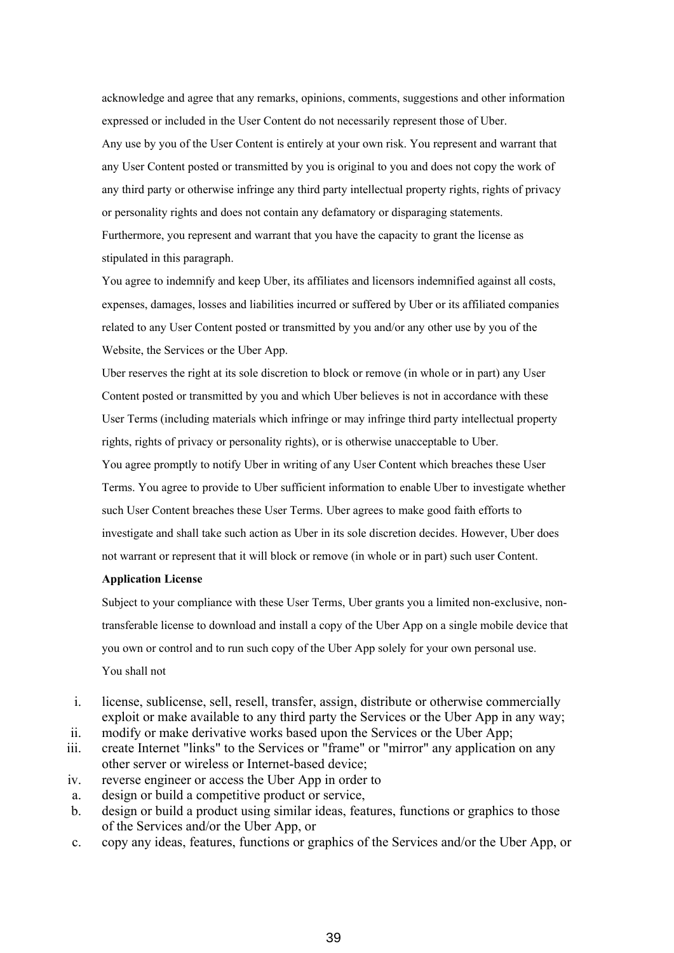acknowledge and agree that any remarks, opinions, comments, suggestions and other information expressed or included in the User Content do not necessarily represent those of Uber. Any use by you of the User Content is entirely at your own risk. You represent and warrant that any User Content posted or transmitted by you is original to you and does not copy the work of any third party or otherwise infringe any third party intellectual property rights, rights of privacy or personality rights and does not contain any defamatory or disparaging statements. Furthermore, you represent and warrant that you have the capacity to grant the license as stipulated in this paragraph.

You agree to indemnify and keep Uber, its affiliates and licensors indemnified against all costs, expenses, damages, losses and liabilities incurred or suffered by Uber or its affiliated companies related to any User Content posted or transmitted by you and/or any other use by you of the Website, the Services or the Uber App.

Uber reserves the right at its sole discretion to block or remove (in whole or in part) any User Content posted or transmitted by you and which Uber believes is not in accordance with these User Terms (including materials which infringe or may infringe third party intellectual property rights, rights of privacy or personality rights), or is otherwise unacceptable to Uber.

You agree promptly to notify Uber in writing of any User Content which breaches these User Terms. You agree to provide to Uber sufficient information to enable Uber to investigate whether such User Content breaches these User Terms. Uber agrees to make good faith efforts to investigate and shall take such action as Uber in its sole discretion decides. However, Uber does not warrant or represent that it will block or remove (in whole or in part) such user Content.

#### **Application License**

Subject to your compliance with these User Terms, Uber grants you a limited non-exclusive, nontransferable license to download and install a copy of the Uber App on a single mobile device that you own or control and to run such copy of the Uber App solely for your own personal use. You shall not

- i. license, sublicense, sell, resell, transfer, assign, distribute or otherwise commercially exploit or make available to any third party the Services or the Uber App in any way;
- ii. modify or make derivative works based upon the Services or the Uber App;
- iii. create Internet "links" to the Services or "frame" or "mirror" any application on any other server or wireless or Internet-based device;
- iv. reverse engineer or access the Uber App in order to
- a. design or build a competitive product or service,
- b. design or build a product using similar ideas, features, functions or graphics to those of the Services and/or the Uber App, or
- c. copy any ideas, features, functions or graphics of the Services and/or the Uber App, or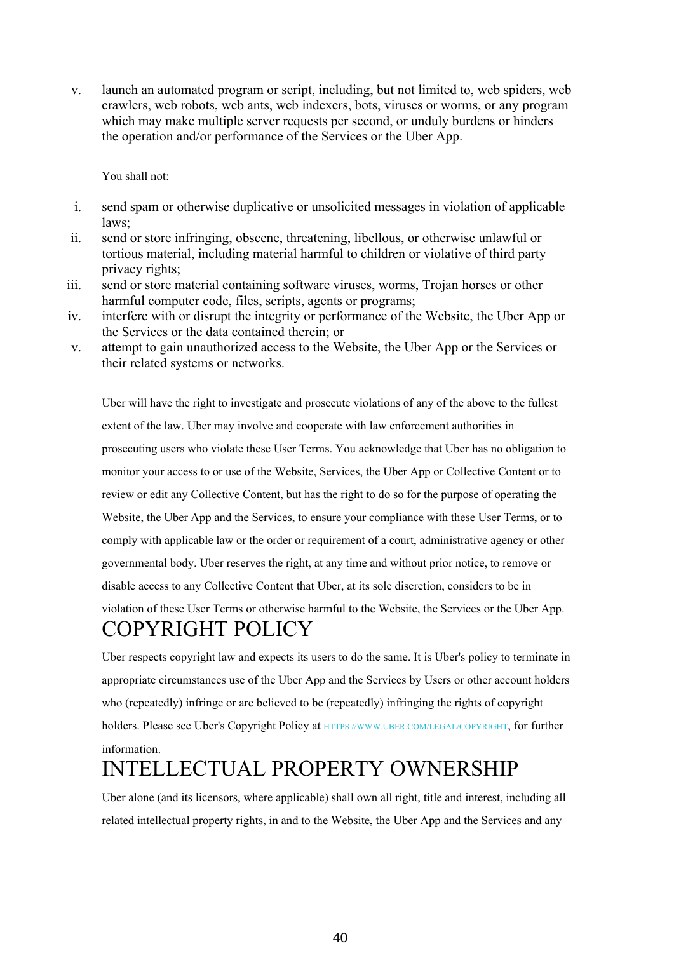v. launch an automated program or script, including, but not limited to, web spiders, web crawlers, web robots, web ants, web indexers, bots, viruses or worms, or any program which may make multiple server requests per second, or unduly burdens or hinders the operation and/or performance of the Services or the Uber App.

You shall not:

- i. send spam or otherwise duplicative or unsolicited messages in violation of applicable laws;
- ii. send or store infringing, obscene, threatening, libellous, or otherwise unlawful or tortious material, including material harmful to children or violative of third party privacy rights;
- iii. send or store material containing software viruses, worms, Trojan horses or other harmful computer code, files, scripts, agents or programs;
- iv. interfere with or disrupt the integrity or performance of the Website, the Uber App or the Services or the data contained therein; or
- v. attempt to gain unauthorized access to the Website, the Uber App or the Services or their related systems or networks.

Uber will have the right to investigate and prosecute violations of any of the above to the fullest extent of the law. Uber may involve and cooperate with law enforcement authorities in prosecuting users who violate these User Terms. You acknowledge that Uber has no obligation to monitor your access to or use of the Website, Services, the Uber App or Collective Content or to review or edit any Collective Content, but has the right to do so for the purpose of operating the Website, the Uber App and the Services, to ensure your compliance with these User Terms, or to comply with applicable law or the order or requirement of a court, administrative agency or other governmental body. Uber reserves the right, at any time and without prior notice, to remove or disable access to any Collective Content that Uber, at its sole discretion, considers to be in violation of these User Terms or otherwise harmful to the Website, the Services or the Uber App. COPYRIGHT POLICY

Uber respects copyright law and expects its users to do the same. It is Uber's policy to terminate in appropriate circumstances use of the Uber App and the Services by Users or other account holders who (repeatedly) infringe or are believed to be (repeatedly) infringing the rights of copyright holders. Please see Uber's Copyright Policy at [HTTPS://WWW.UBER.COM/LEGAL/COPYRIGHT](https://www.uber.com/copyright), for further information.

#### INTELLECTUAL PROPERTY OWNERSHIP

Uber alone (and its licensors, where applicable) shall own all right, title and interest, including all related intellectual property rights, in and to the Website, the Uber App and the Services and any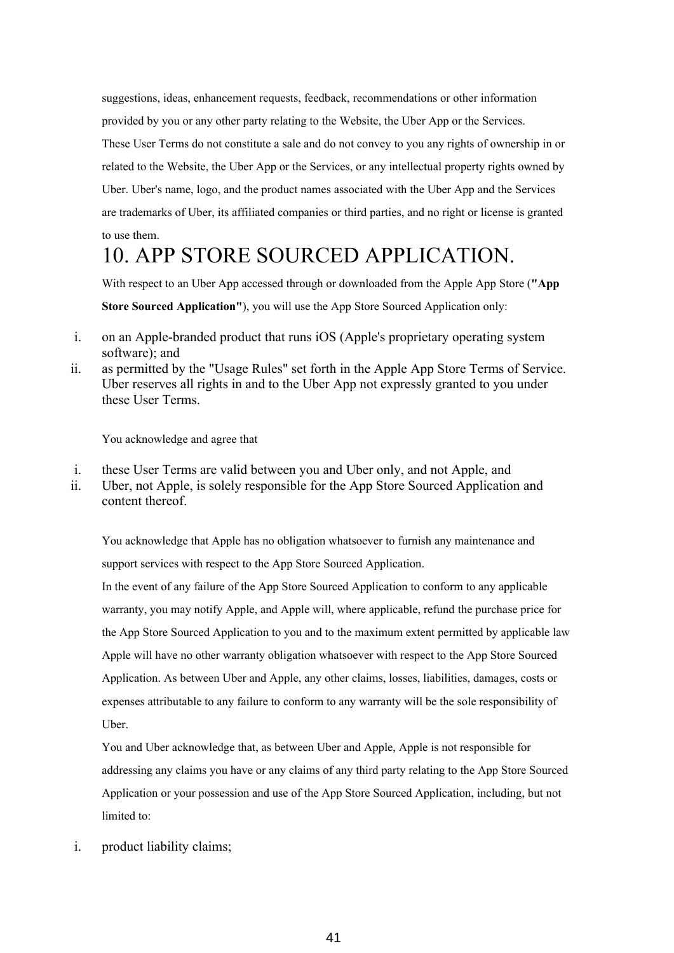suggestions, ideas, enhancement requests, feedback, recommendations or other information provided by you or any other party relating to the Website, the Uber App or the Services. These User Terms do not constitute a sale and do not convey to you any rights of ownership in or related to the Website, the Uber App or the Services, or any intellectual property rights owned by Uber. Uber's name, logo, and the product names associated with the Uber App and the Services are trademarks of Uber, its affiliated companies or third parties, and no right or license is granted to use them.

#### 10. APP STORE SOURCED APPLICATION.

With respect to an Uber App accessed through or downloaded from the Apple App Store (**"App Store Sourced Application"**), you will use the App Store Sourced Application only:

- i. on an Apple-branded product that runs iOS (Apple's proprietary operating system software); and
- ii. as permitted by the "Usage Rules" set forth in the Apple App Store Terms of Service. Uber reserves all rights in and to the Uber App not expressly granted to you under these User Terms.

You acknowledge and agree that

- i. these User Terms are valid between you and Uber only, and not Apple, and
- ii. Uber, not Apple, is solely responsible for the App Store Sourced Application and content thereof.

You acknowledge that Apple has no obligation whatsoever to furnish any maintenance and support services with respect to the App Store Sourced Application.

In the event of any failure of the App Store Sourced Application to conform to any applicable warranty, you may notify Apple, and Apple will, where applicable, refund the purchase price for the App Store Sourced Application to you and to the maximum extent permitted by applicable law Apple will have no other warranty obligation whatsoever with respect to the App Store Sourced Application. As between Uber and Apple, any other claims, losses, liabilities, damages, costs or expenses attributable to any failure to conform to any warranty will be the sole responsibility of Uber.

You and Uber acknowledge that, as between Uber and Apple, Apple is not responsible for addressing any claims you have or any claims of any third party relating to the App Store Sourced Application or your possession and use of the App Store Sourced Application, including, but not limited to:

i. product liability claims;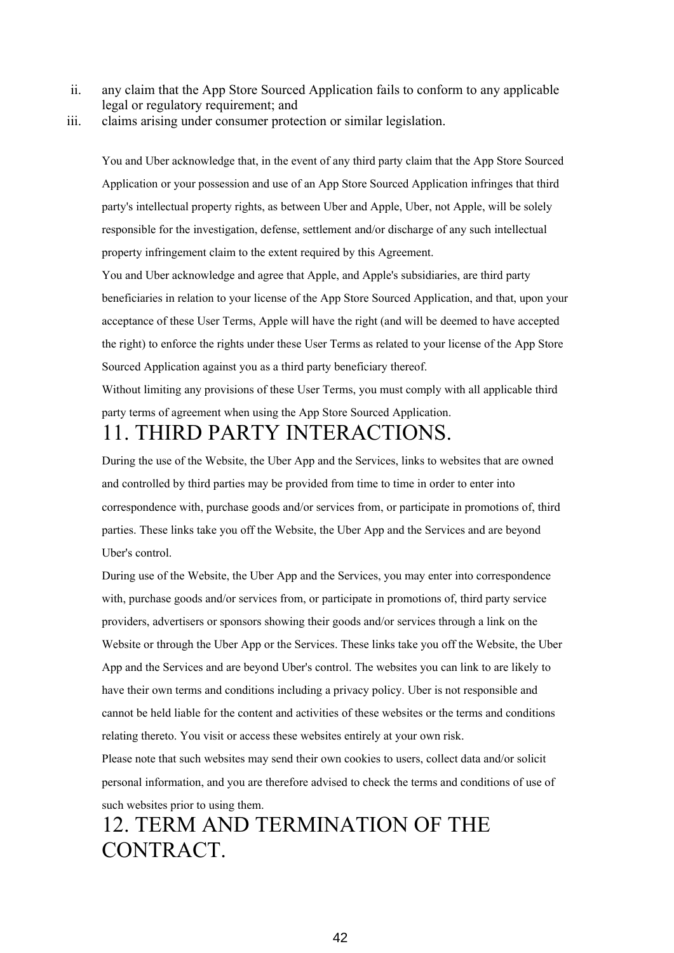- ii. any claim that the App Store Sourced Application fails to conform to any applicable legal or regulatory requirement; and
- iii. claims arising under consumer protection or similar legislation.

You and Uber acknowledge that, in the event of any third party claim that the App Store Sourced Application or your possession and use of an App Store Sourced Application infringes that third party's intellectual property rights, as between Uber and Apple, Uber, not Apple, will be solely responsible for the investigation, defense, settlement and/or discharge of any such intellectual property infringement claim to the extent required by this Agreement.

You and Uber acknowledge and agree that Apple, and Apple's subsidiaries, are third party beneficiaries in relation to your license of the App Store Sourced Application, and that, upon your acceptance of these User Terms, Apple will have the right (and will be deemed to have accepted the right) to enforce the rights under these User Terms as related to your license of the App Store Sourced Application against you as a third party beneficiary thereof.

Without limiting any provisions of these User Terms, you must comply with all applicable third party terms of agreement when using the App Store Sourced Application.

#### 11. THIRD PARTY INTERACTIONS.

During the use of the Website, the Uber App and the Services, links to websites that are owned and controlled by third parties may be provided from time to time in order to enter into correspondence with, purchase goods and/or services from, or participate in promotions of, third parties. These links take you off the Website, the Uber App and the Services and are beyond Uber's control.

During use of the Website, the Uber App and the Services, you may enter into correspondence with, purchase goods and/or services from, or participate in promotions of, third party service providers, advertisers or sponsors showing their goods and/or services through a link on the Website or through the Uber App or the Services. These links take you off the Website, the Uber App and the Services and are beyond Uber's control. The websites you can link to are likely to have their own terms and conditions including a privacy policy. Uber is not responsible and cannot be held liable for the content and activities of these websites or the terms and conditions relating thereto. You visit or access these websites entirely at your own risk.

Please note that such websites may send their own cookies to users, collect data and/or solicit personal information, and you are therefore advised to check the terms and conditions of use of such websites prior to using them.

#### 12. TERM AND TERMINATION OF THE CONTRACT.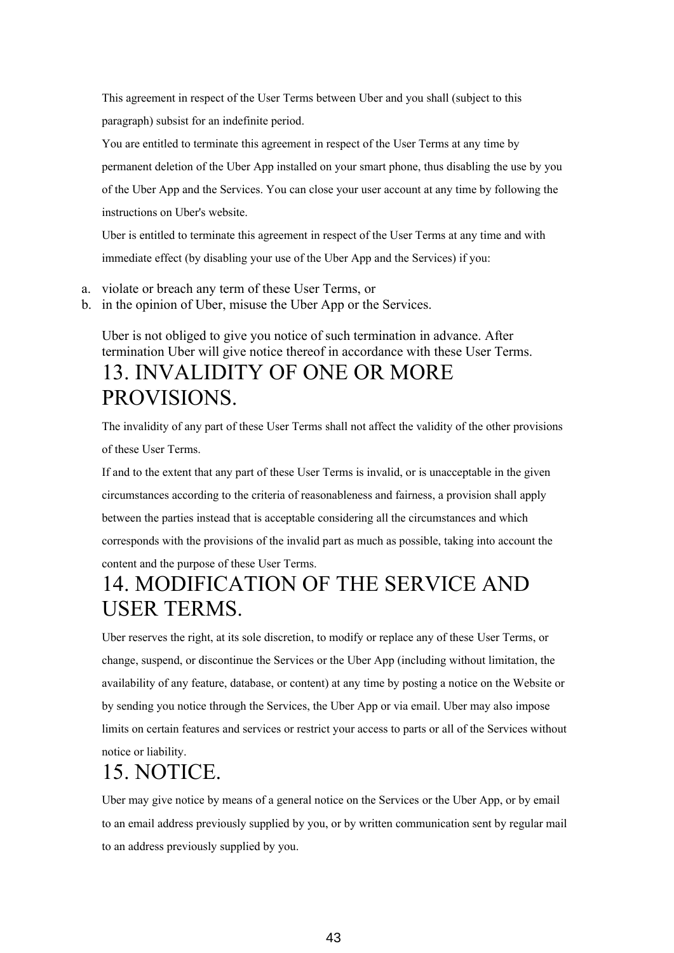This agreement in respect of the User Terms between Uber and you shall (subject to this paragraph) subsist for an indefinite period.

You are entitled to terminate this agreement in respect of the User Terms at any time by permanent deletion of the Uber App installed on your smart phone, thus disabling the use by you of the Uber App and the Services. You can close your user account at any time by following the instructions on Uber's website.

Uber is entitled to terminate this agreement in respect of the User Terms at any time and with immediate effect (by disabling your use of the Uber App and the Services) if you:

- a. violate or breach any term of these User Terms, or
- b. in the opinion of Uber, misuse the Uber App or the Services.

Uber is not obliged to give you notice of such termination in advance. After termination Uber will give notice thereof in accordance with these User Terms. 13. INVALIDITY OF ONE OR MORE PROVISIONS.

The invalidity of any part of these User Terms shall not affect the validity of the other provisions of these User Terms.

If and to the extent that any part of these User Terms is invalid, or is unacceptable in the given circumstances according to the criteria of reasonableness and fairness, a provision shall apply between the parties instead that is acceptable considering all the circumstances and which corresponds with the provisions of the invalid part as much as possible, taking into account the content and the purpose of these User Terms.

#### 14. MODIFICATION OF THE SERVICE AND USER TERMS.

Uber reserves the right, at its sole discretion, to modify or replace any of these User Terms, or change, suspend, or discontinue the Services or the Uber App (including without limitation, the availability of any feature, database, or content) at any time by posting a notice on the Website or by sending you notice through the Services, the Uber App or via email. Uber may also impose limits on certain features and services or restrict your access to parts or all of the Services without notice or liability.

#### 15. NOTICE.

Uber may give notice by means of a general notice on the Services or the Uber App, or by email to an email address previously supplied by you, or by written communication sent by regular mail to an address previously supplied by you.